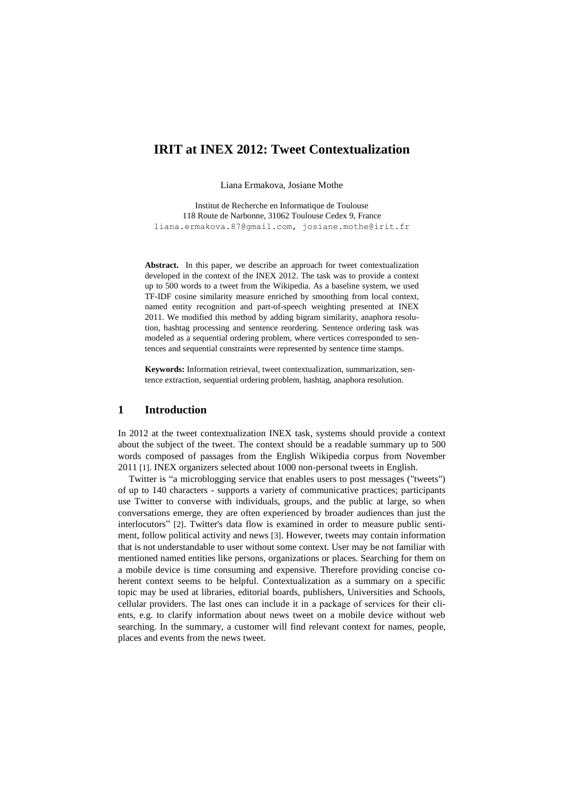# **IRIT at INEX 2012: Tweet Contextualization**

Liana Ermakova, Josiane Mothe

Institut de Recherche en Informatique de Toulouse 118 Route de Narbonne, 31062 Toulouse Cedex 9, France [liana.ermakova.87@gmail.com,](mailto:Liana.ermakova.87@gmail.com) [josiane.mothe@irit.fr](mailto:josiane.mothe@irit.fr)

**Abstract.** In this paper, we describe an approach for tweet contextualization developed in the context of the INEX 2012. The task was to provide a context up to 500 words to a tweet from the Wikipedia. As a baseline system, we used TF-IDF cosine similarity measure enriched by smoothing from local context, named entity recognition and part-of-speech weighting presented at INEX 2011. We modified this method by adding bigram similarity, anaphora resolution, hashtag processing and sentence reordering. Sentence ordering task was modeled as a sequential ordering problem, where vertices corresponded to sentences and sequential constraints were represented by sentence time stamps.

**Keywords:** Information retrieval, tweet contextualization, summarization, sentence extraction, sequential ordering problem, hashtag, anaphora resolution.

### **1 Introduction**

In 2012 at the tweet contextualization INEX task, systems should provide a context about the subject of the tweet. The context should be a readable summary up to 500 words composed of passages from the English Wikipedia corpus from November 2011 [1]. INEX organizers selected about 1000 non-personal tweets in English.

Twitter is "a microblogging service that enables users to post messages ("tweets") of up to 140 characters - supports a variety of communicative practices; participants use Twitter to converse with individuals, groups, and the public at large, so when conversations emerge, they are often experienced by broader audiences than just the interlocutors" [2]. Twitter's data flow is examined in order to measure public sentiment, follow political activity and news [3]. However, tweets may contain information that is not understandable to user without some context. User may be not familiar with mentioned named entities like persons, organizations or places. Searching for them on a mobile device is time consuming and expensive. Therefore providing concise coherent context seems to be helpful. Contextualization as a summary on a specific topic may be used at libraries, editorial boards, publishers, Universities and Schools, cellular providers. The last ones can include it in а package of services for their clients, e.g. to clarify information about news tweet on a mobile device without web searching. In the summary, a customer will find relevant context for names, people, places and events from the news tweet.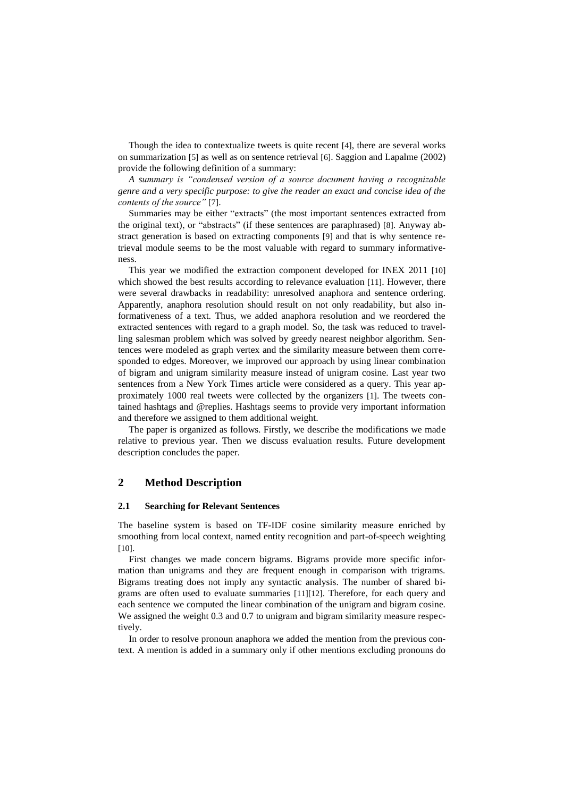Though the idea to contextualize tweets is quite recent [4], there are several works on summarization [5] as well as on sentence retrieval [6]. Saggion and Lapalme (2002) provide the following definition of a summary:

*A summary is "condensed version of a source document having a recognizable genre and a very specific purpose: to give the reader an exact and concise idea of the contents of the source"* [7].

Summaries may be either "extracts" (the most important sentences extracted from the original text), or "abstracts" (if these sentences are paraphrased) [8]. Anyway abstract generation is based on extracting components [9] and that is why sentence retrieval module seems to be the most valuable with regard to summary informativeness.

This year we modified the extraction component developed for INEX 2011 [10] which showed the best results according to relevance evaluation [11]. However, there were several drawbacks in readability: unresolved anaphora and sentence ordering. Apparently, anaphora resolution should result on not only readability, but also informativeness of a text. Thus, we added anaphora resolution and we reordered the extracted sentences with regard to a graph model. So, the task was reduced to travelling salesman problem which was solved by greedy nearest neighbor algorithm. Sentences were modeled as graph vertex and the similarity measure between them corresponded to edges. Moreover, we improved our approach by using linear combination of bigram and unigram similarity measure instead of unigram cosine. Last year two sentences from a New York Times article were considered as a query. This year approximately 1000 real tweets were collected by the organizers [1]. The tweets contained hashtags and @replies. Hashtags seems to provide very important information and therefore we assigned to them additional weight.

The paper is organized as follows. Firstly, we describe the modifications we made relative to previous year. Then we discuss evaluation results. Future development description concludes the paper.

## **2 Method Description**

#### **2.1 Searching for Relevant Sentences**

The baseline system is based on TF-IDF cosine similarity measure enriched by smoothing from local context, named entity recognition and part-of-speech weighting [10].

First changes we made concern bigrams. Bigrams provide more specific information than unigrams and they are frequent enough in comparison with trigrams. Bigrams treating does not imply any syntactic analysis. The number of shared bigrams are often used to evaluate summaries [11][12]. Therefore, for each query and each sentence we computed the linear combination of the unigram and bigram cosine. We assigned the weight 0.3 and 0.7 to unigram and bigram similarity measure respectively.

In order to resolve pronoun anaphora we added the mention from the previous context. A mention is added in a summary only if other mentions excluding pronouns do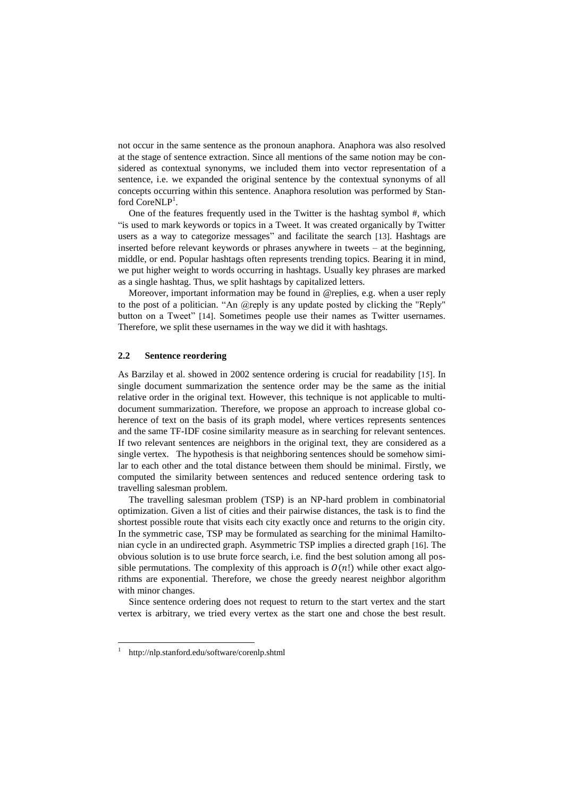not occur in the same sentence as the pronoun anaphora. Anaphora was also resolved at the stage of sentence extraction. Since all mentions of the same notion may be considered as contextual synonyms, we included them into vector representation of a sentence, i.e. we expanded the original sentence by the contextual synonyms of all concepts occurring within this sentence. Anaphora resolution was performed by Stanford CoreNLP<sup>1</sup>.

One of the features frequently used in the Twitter is the hashtag symbol #, which "is used to mark keywords or topics in a Tweet. It was created organically by Twitter users as a way to categorize messages" and facilitate the search [13]. Hashtags are inserted before relevant keywords or phrases anywhere in tweets – at the beginning, middle, or end. Popular hashtags often represents trending topics. Bearing it in mind, we put higher weight to words occurring in hashtags. Usually key phrases are marked as a single hashtag. Thus, we split hashtags by capitalized letters.

Moreover, important information may be found in @replies, e.g. when a user reply to the post of a politician. "An @reply is any update posted by clicking the "Reply" button on a Tweet" [14]. Sometimes people use their names as Twitter usernames. Therefore, we split these usernames in the way we did it with hashtags.

#### **2.2 Sentence reordering**

As Barzilay et al. showed in 2002 sentence ordering is crucial for readability [15]. In single document summarization the sentence order may be the same as the initial relative order in the original text. However, this technique is not applicable to multidocument summarization. Therefore, we propose an approach to increase global coherence of text on the basis of its graph model, where vertices represents sentences and the same TF-IDF cosine similarity measure as in searching for relevant sentences. If two relevant sentences are neighbors in the original text, they are considered as a single vertex. The hypothesis is that neighboring sentences should be somehow similar to each other and the total distance between them should be minimal. Firstly, we computed the similarity between sentences and reduced sentence ordering task to travelling salesman problem.

The travelling salesman problem (TSP) is an NP-hard problem in combinatorial optimization. Given a list of cities and their pairwise distances, the task is to find the shortest possible route that visits each city exactly once and returns to the origin city. In the symmetric case, TSP may be formulated as searching for the minimal Hamiltonian cycle in an undirected graph. Asymmetric TSP implies a directed graph [16]. The obvious solution is to use brute force search, i.e. find the best solution among all possible permutations. The complexity of this approach is  $O(n!)$  while other exact algorithms are exponential. Therefore, we chose the greedy nearest neighbor algorithm with minor changes.

Since sentence ordering does not request to return to the start vertex and the start vertex is arbitrary, we tried every vertex as the start one and chose the best result.

 $\overline{a}$ 

<sup>1</sup> <http://nlp.stanford.edu/software/corenlp.shtml>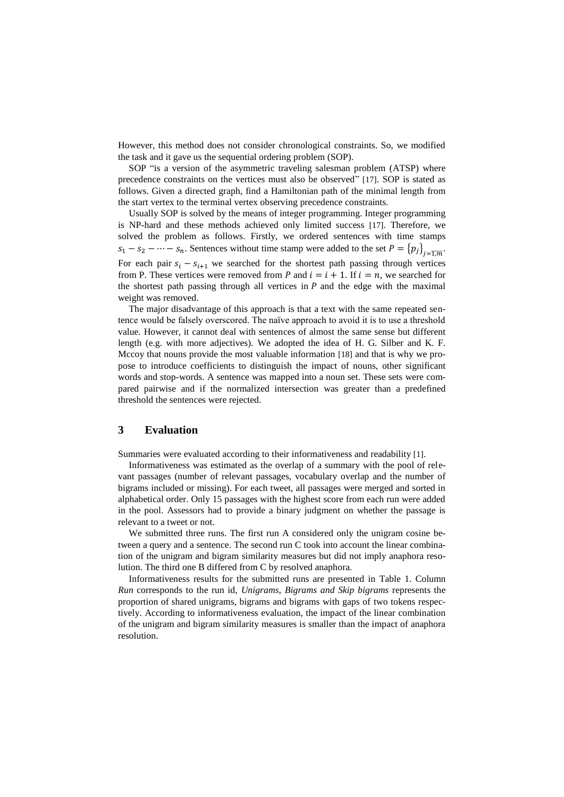However, this method does not consider chronological constraints. So, we modified the task and it gave us the sequential ordering problem (SOP).

SOP "is a version of the asymmetric traveling salesman problem (ATSP) where precedence constraints on the vertices must also be observed" [17]. SOP is stated as follows. Given a directed graph, find a Hamiltonian path of the minimal length from the start vertex to the terminal vertex observing precedence constraints.

Usually SOP is solved by the means of integer programming. Integer programming is NP-hard and these methods achieved only limited success [17]. Therefore, we solved the problem as follows. Firstly, we ordered sentences with time stamps  $s_1 - s_2 - \cdots - s_n$ . Sentences without time stamp were added to the set  $P = \{p_j\}_{j=\overline{1,m}}$ . For each pair  $s_i - s_{i+1}$  we searched for the shortest path passing through vertices from P. These vertices were removed from P and  $i = i + 1$ . If  $i = n$ , we searched for the shortest path passing through all vertices in  $P$  and the edge with the maximal weight was removed.

The major disadvantage of this approach is that a text with the same repeated sentence would be falsely overscored. The naïve approach to avoid it is to use a threshold value. However, it cannot deal with sentences of almost the same sense but different length (e.g. with more adjectives). We adopted the idea of H. G. Silber and K. F. Mccoy that nouns provide the most valuable information [18] and that is why we propose to introduce coefficients to distinguish the impact of nouns, other significant words and stop-words. A sentence was mapped into a noun set. These sets were compared pairwise and if the normalized intersection was greater than a predefined threshold the sentences were rejected.

#### **3 Evaluation**

Summaries were evaluated according to their informativeness and readability [1].

Informativeness was estimated as the overlap of a summary with the pool of relevant passages (number of relevant passages, vocabulary overlap and the number of bigrams included or missing). For each tweet, all passages were merged and sorted in alphabetical order. Only 15 passages with the highest score from each run were added in the pool. Assessors had to provide a binary judgment on whether the passage is relevant to a tweet or not.

We submitted three runs. The first run A considered only the unigram cosine between a query and a sentence. The second run C took into account the linear combination of the unigram and bigram similarity measures but did not imply anaphora resolution. The third one B differed from C by resolved anaphora.

Informativeness results for the submitted runs are presented in [Table 1.](#page-4-0) Column *Run* corresponds to the run id, *Unigrams, Bigrams and Skip bigrams* represents the proportion of shared unigrams, bigrams and bigrams with gaps of two tokens respectively. According to informativeness evaluation, the impact of the linear combination of the unigram and bigram similarity measures is smaller than the impact of anaphora resolution.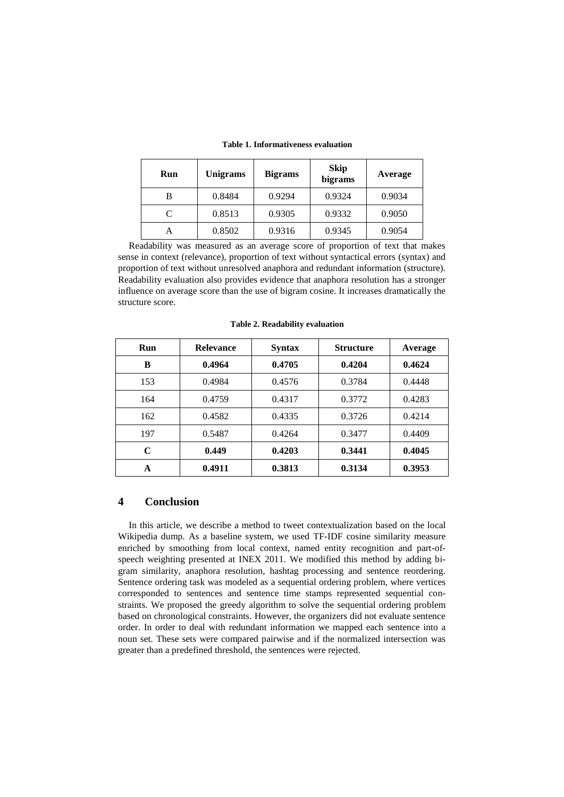<span id="page-4-0"></span>

| Run       | Unigrams | <b>Bigrams</b> | <b>Skip</b><br>bigrams | Average |
|-----------|----------|----------------|------------------------|---------|
| в         | 0.8484   | 0.9294         | 0.9324                 | 0.9034  |
| $\subset$ | 0.8513   | 0.9305         | 0.9332                 | 0.9050  |
|           | 0.8502   | 0.9316         | 0.9345                 | 0.9054  |

|  | Table 1. Informativeness evaluation |
|--|-------------------------------------|
|  |                                     |

Readability was measured as an average score of proportion of text that makes sense in context (relevance), proportion of text without syntactical errors (syntax) and proportion of text without unresolved anaphora and redundant information (structure). Readability evaluation also provides evidence that anaphora resolution has a stronger influence on average score than the use of bigram cosine. It increases dramatically the structure score.

| Run | <b>Relevance</b> | <b>Syntax</b> | <b>Structure</b> | Average |
|-----|------------------|---------------|------------------|---------|
| B   | 0.4964           | 0.4705        | 0.4204           | 0.4624  |
| 153 | 0.4984           | 0.4576        | 0.3784           | 0.4448  |
| 164 | 0.4759           | 0.4317        | 0.3772           | 0.4283  |
| 162 | 0.4582           | 0.4335        | 0.3726           | 0.4214  |
| 197 | 0.5487           | 0.4264        | 0.3477           | 0.4409  |
| C   | 0.449            | 0.4203        | 0.3441           | 0.4045  |
| A   | 0.4911           | 0.3813        | 0.3134           | 0.3953  |

**Table 2. Readability evaluation**

#### **4 Conclusion**

In this article, we describe a method to tweet contextualization based on the local Wikipedia dump. As a baseline system, we used TF-IDF cosine similarity measure enriched by smoothing from local context, named entity recognition and part-ofspeech weighting presented at INEX 2011. We modified this method by adding bigram similarity, anaphora resolution, hashtag processing and sentence reordering. Sentence ordering task was modeled as a sequential ordering problem, where vertices corresponded to sentences and sentence time stamps represented sequential constraints. We proposed the greedy algorithm to solve the sequential ordering problem based on chronological constraints. However, the organizers did not evaluate sentence order. In order to deal with redundant information we mapped each sentence into a noun set. These sets were compared pairwise and if the normalized intersection was greater than a predefined threshold, the sentences were rejected.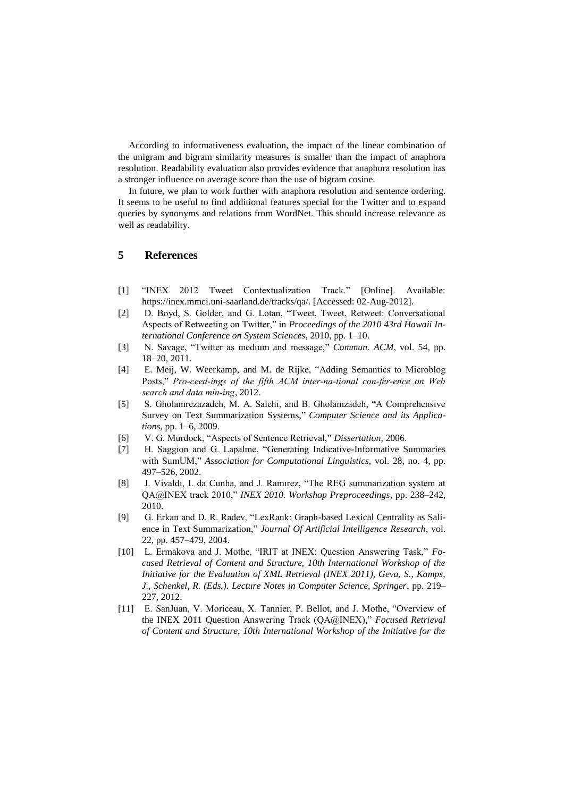According to informativeness evaluation, the impact of the linear combination of the unigram and bigram similarity measures is smaller than the impact of anaphora resolution. Readability evaluation also provides evidence that anaphora resolution has a stronger influence on average score than the use of bigram cosine.

In future, we plan to work further with anaphora resolution and sentence ordering. It seems to be useful to find additional features special for the Twitter and to expand queries by synonyms and relations from WordNet. This should increase relevance as well as readability.

## **5 References**

- [1] "INEX 2012 Tweet Contextualization Track." [Online]. Available: https://inex.mmci.uni-saarland.de/tracks/qa/. [Accessed: 02-Aug-2012].
- [2] D. Boyd, S. Golder, and G. Lotan, "Tweet, Tweet, Retweet: Conversational Aspects of Retweeting on Twitter," in *Proceedings of the 2010 43rd Hawaii International Conference on System Sciences*, 2010, pp. 1–10.
- [3] N. Savage, "Twitter as medium and message," *Commun. ACM*, vol. 54, pp. 18–20, 2011.
- [4] E. Meij, W. Weerkamp, and M. de Rijke, "Adding Semantics to Microblog Posts," Pro-ceed-ings of the fifth ACM inter-na-tional con-fer-ence on Web search and data min-ing, 2012.
- [5] S. Gholamrezazadeh, M. A. Salehi, and B. Gholamzadeh, "A Comprehensive Survey on Text Summarization Systems," *Computer Science and its Applications*, pp. 1–6, 2009.
- [6] V. G. Murdock, "Aspects of Sentence Retrieval," *Dissertation*, 2006.
- [7] H. Saggion and G. Lapalme, "Generating Indicative-Informative Summaries with SumUM," *Association for Computational Linguistics*, vol. 28, no. 4, pp. 497–526, 2002.
- [8] J. Vivaldi, I. da Cunha, and J. Ramırez, "The REG summarization system at QA@INEX track 2010," *INEX 2010. Workshop Preproceedings*, pp. 238–242, 2010.
- [9] G. Erkan and D. R. Radev, "LexRank: Graph-based Lexical Centrality as Salience in Text Summarization," *Journal Of Artificial Intelligence Research*, vol. 22, pp. 457–479, 2004.
- [10] L. Ermakova and J. Mothe, "IRIT at INEX: Question Answering Task," *Focused Retrieval of Content and Structure, 10th International Workshop of the Initiative for the Evaluation of XML Retrieval (INEX 2011), Geva, S., Kamps, J., Schenkel, R. (Eds.). Lecture Notes in Computer Science, Springer*, pp. 219– 227, 2012.
- [11] E. SanJuan, V. Moriceau, X. Tannier, P. Bellot, and J. Mothe, "Overview of the INEX 2011 Question Answering Track (QA@INEX)," *Focused Retrieval of Content and Structure, 10th International Workshop of the Initiative for the*